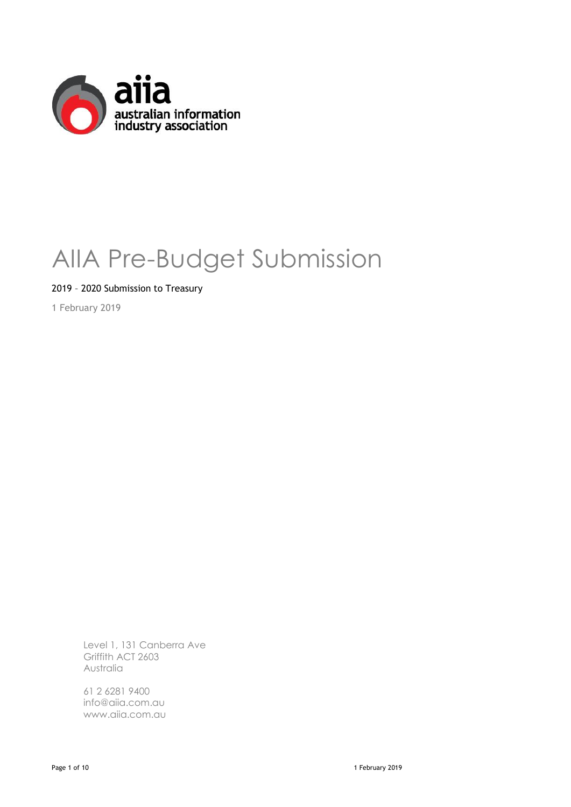

# AIIA Pre-Budget Submission

2019 – 2020 Submission to Treasury

1 February 2019

Level 1, 131 Canberra Ave Griffith ACT 2603 Australia

61 2 6281 9400 info@aiia.com.au www.aiia.com.au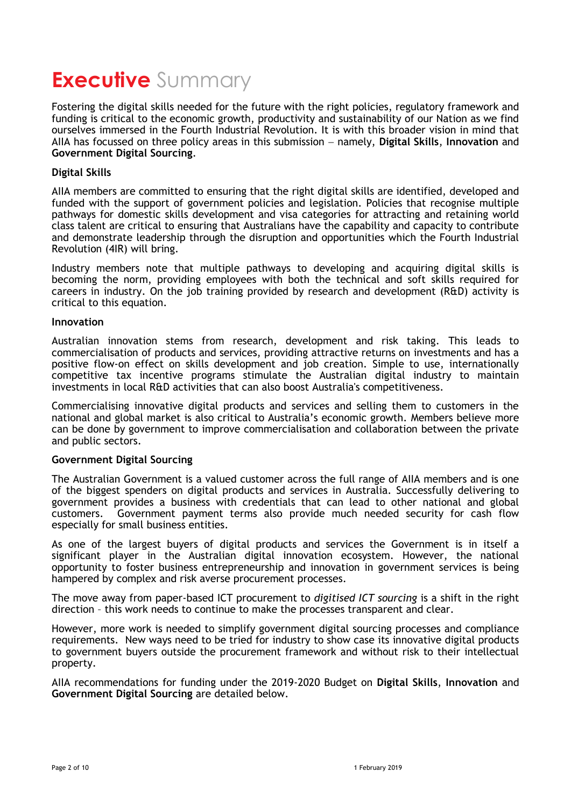### **Executive** Summary

Fostering the digital skills needed for the future with the right policies, regulatory framework and funding is critical to the economic growth, productivity and sustainability of our Nation as we find ourselves immersed in the Fourth Industrial Revolution. It is with this broader vision in mind that AIIA has focussed on three policy areas in this submission − namely, **Digital Skills**, **Innovation** and **Government Digital Sourcing**.

#### **Digital Skills**

AIIA members are committed to ensuring that the right digital skills are identified, developed and funded with the support of government policies and legislation. Policies that recognise multiple pathways for domestic skills development and visa categories for attracting and retaining world class talent are critical to ensuring that Australians have the capability and capacity to contribute and demonstrate leadership through the disruption and opportunities which the Fourth Industrial Revolution (4IR) will bring.

Industry members note that multiple pathways to developing and acquiring digital skills is becoming the norm, providing employees with both the technical and soft skills required for careers in industry. On the job training provided by research and development (R&D) activity is critical to this equation.

#### **Innovation**

Australian innovation stems from research, development and risk taking. This leads to commercialisation of products and services, providing attractive returns on investments and has a positive flow-on effect on skills development and job creation. Simple to use, internationally competitive tax incentive programs stimulate the Australian digital industry to maintain investments in local R&D activities that can also boost Australia's competitiveness.

Commercialising innovative digital products and services and selling them to customers in the national and global market is also critical to Australia's economic growth. Members believe more can be done by government to improve commercialisation and collaboration between the private and public sectors.

#### **Government Digital Sourcing**

The Australian Government is a valued customer across the full range of AIIA members and is one of the biggest spenders on digital products and services in Australia. Successfully delivering to government provides a business with credentials that can lead to other national and global customers. Government payment terms also provide much needed security for cash flow especially for small business entities.

As one of the largest buyers of digital products and services the Government is in itself a significant player in the Australian digital innovation ecosystem. However, the national opportunity to foster business entrepreneurship and innovation in government services is being hampered by complex and risk averse procurement processes.

The move away from paper-based ICT procurement to *digitised ICT sourcing* is a shift in the right direction – this work needs to continue to make the processes transparent and clear.

However, more work is needed to simplify government digital sourcing processes and compliance requirements. New ways need to be tried for industry to show case its innovative digital products to government buyers outside the procurement framework and without risk to their intellectual property.

AIIA recommendations for funding under the 2019-2020 Budget on **Digital Skills**, **Innovation** and **Government Digital Sourcing** are detailed below.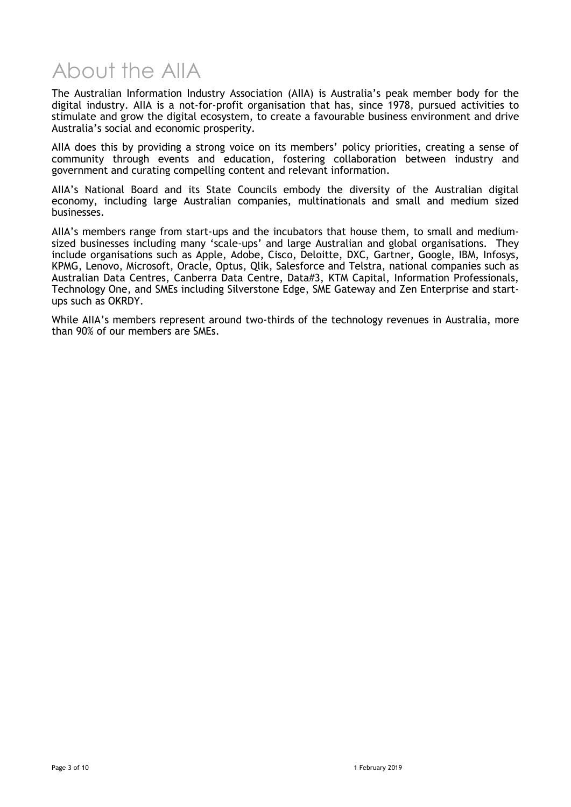# About the AIIA

The Australian Information Industry Association (AIIA) is Australia's peak member body for the digital industry. AIIA is a not-for-profit organisation that has, since 1978, pursued activities to stimulate and grow the digital ecosystem, to create a favourable business environment and drive Australia's social and economic prosperity.

AIIA does this by providing a strong voice on its members' policy priorities, creating a sense of community through events and education, fostering collaboration between industry and government and curating compelling content and relevant information.

AIIA's National Board and its State Councils embody the diversity of the Australian digital economy, including large Australian companies, multinationals and small and medium sized businesses.

AIIA's members range from start-ups and the incubators that house them, to small and mediumsized businesses including many 'scale-ups' and large Australian and global organisations. They include organisations such as Apple, Adobe, Cisco, Deloitte, DXC, Gartner, Google, IBM, Infosys, KPMG, Lenovo, Microsoft, Oracle, Optus, Qlik, Salesforce and Telstra, national companies such as Australian Data Centres, Canberra Data Centre, Data#3, KTM Capital, Information Professionals, Technology One, and SMEs including Silverstone Edge, SME Gateway and Zen Enterprise and startups such as OKRDY.

While AIIA's members represent around two-thirds of the technology revenues in Australia, more than 90% of our members are SMEs.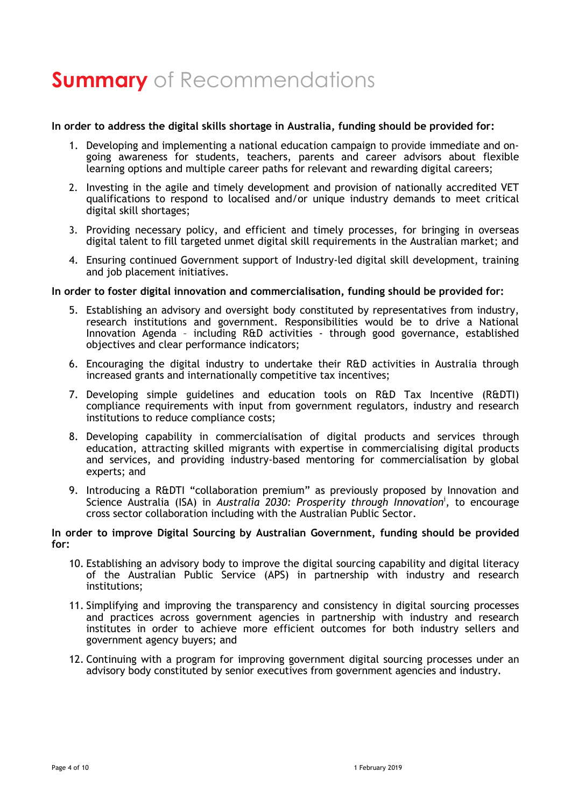# **Summary** of Recommendations

#### **In order to address the digital skills shortage in Australia, funding should be provided for:**

- 1. Developing and implementing a national education campaign to provide immediate and ongoing awareness for students, teachers, parents and career advisors about flexible learning options and multiple career paths for relevant and rewarding digital careers;
- 2. Investing in the agile and timely development and provision of nationally accredited VET qualifications to respond to localised and/or unique industry demands to meet critical digital skill shortages;
- 3. Providing necessary policy, and efficient and timely processes, for bringing in overseas digital talent to fill targeted unmet digital skill requirements in the Australian market; and
- 4. Ensuring continued Government support of Industry-led digital skill development, training and job placement initiatives.

#### **In order to foster digital innovation and commercialisation, funding should be provided for:**

- 5. Establishing an advisory and oversight body constituted by representatives from industry, research institutions and government. Responsibilities would be to drive a National Innovation Agenda – including R&D activities - through good governance, established objectives and clear performance indicators;
- 6. Encouraging the digital industry to undertake their R&D activities in Australia through increased grants and internationally competitive tax incentives;
- 7. Developing simple guidelines and education tools on R&D Tax Incentive (R&DTI) compliance requirements with input from government regulators, industry and research institutions to reduce compliance costs;
- 8. Developing capability in commercialisation of digital products and services through education, attracting skilled migrants with expertise in commercialising digital products and services, and providing industry-based mentoring for commercialisation by global experts; and
- 9. Introducing a R&DTI "collaboration premium" as previously proposed by Innovation and Science Australia (ISA) in *Australia 2030: Prosperity through Innovation*<sup>i</sup> , to encourage cross sector collaboration including with the Australian Public Sector.

#### **In order to improve Digital Sourcing by Australian Government, funding should be provided for:**

- 10. Establishing an advisory body to improve the digital sourcing capability and digital literacy of the Australian Public Service (APS) in partnership with industry and research institutions;
- 11. Simplifying and improving the transparency and consistency in digital sourcing processes and practices across government agencies in partnership with industry and research institutes in order to achieve more efficient outcomes for both industry sellers and government agency buyers; and
- 12. Continuing with a program for improving government digital sourcing processes under an advisory body constituted by senior executives from government agencies and industry.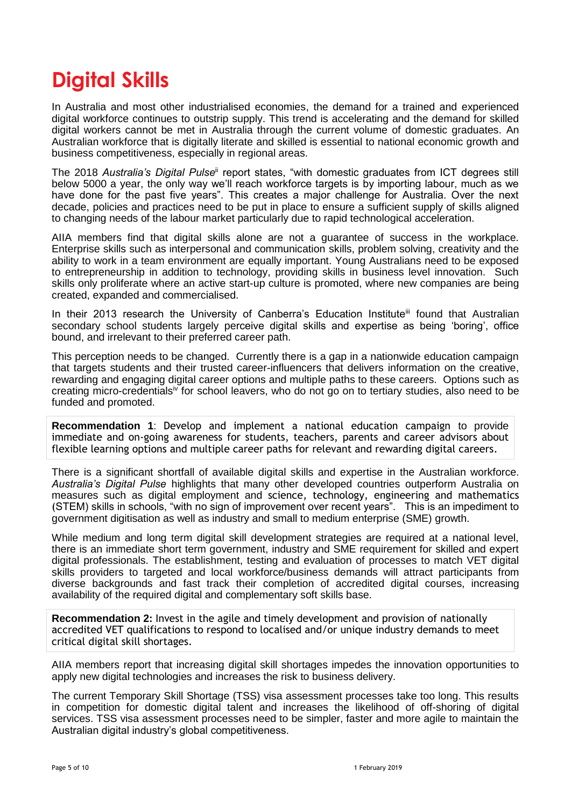### **Digital Skills**

In Australia and most other industrialised economies, the demand for a trained and experienced digital workforce continues to outstrip supply. This trend is accelerating and the demand for skilled digital workers cannot be met in Australia through the current volume of domestic graduates. An Australian workforce that is digitally literate and skilled is essential to national economic growth and business competitiveness, especially in regional areas.

The 2018 *Australia's Digital Pulse*ii report states, "with domestic graduates from ICT degrees still below 5000 a year, the only way we'll reach workforce targets is by importing labour, much as we have done for the past five years". This creates a major challenge for Australia. Over the next decade, policies and practices need to be put in place to ensure a sufficient supply of skills aligned to changing needs of the labour market particularly due to rapid technological acceleration.

AIIA members find that digital skills alone are not a guarantee of success in the workplace. Enterprise skills such as interpersonal and communication skills, problem solving, creativity and the ability to work in a team environment are equally important. Young Australians need to be exposed to entrepreneurship in addition to technology, providing skills in business level innovation. Such skills only proliferate where an active start-up culture is promoted, where new companies are being created, expanded and commercialised.

In their 2013 research the University of Canberra's Education Institute<sup>iii</sup> found that Australian secondary school students largely perceive digital skills and expertise as being 'boring', office bound, and irrelevant to their preferred career path.

This perception needs to be changed. Currently there is a gap in a nationwide education campaign that targets students and their trusted career-influencers that delivers information on the creative, rewarding and engaging digital career options and multiple paths to these careers. Options such as creating micro-credentialsiv for school leavers, who do not go on to tertiary studies, also need to be funded and promoted.

**Recommendation 1**: Develop and implement a national education campaign to provide immediate and on-going awareness for students, teachers, parents and career advisors about flexible learning options and multiple career paths for relevant and rewarding digital careers.

There is a significant shortfall of available digital skills and expertise in the Australian workforce. *Australia's Digital Pulse* highlights that many other developed countries outperform Australia on measures such as digital employment and science, technology, engineering and mathematics (STEM) skills in schools, "with no sign of improvement over recent years". This is an impediment to government digitisation as well as industry and small to medium enterprise (SME) growth.

While medium and long term digital skill development strategies are required at a national level, there is an immediate short term government, industry and SME requirement for skilled and expert digital professionals. The establishment, testing and evaluation of processes to match VET digital skills providers to targeted and local workforce/business demands will attract participants from diverse backgrounds and fast track their completion of accredited digital courses, increasing availability of the required digital and complementary soft skills base.

**Recommendation 2:** Invest in the agile and timely development and provision of nationally accredited VET qualifications to respond to localised and/or unique industry demands to meet critical digital skill shortages.

AIIA members report that increasing digital skill shortages impedes the innovation opportunities to apply new digital technologies and increases the risk to business delivery.

The current Temporary Skill Shortage (TSS) visa assessment processes take too long. This results in competition for domestic digital talent and increases the likelihood of off-shoring of digital services. TSS visa assessment processes need to be simpler, faster and more agile to maintain the Australian digital industry's global competitiveness.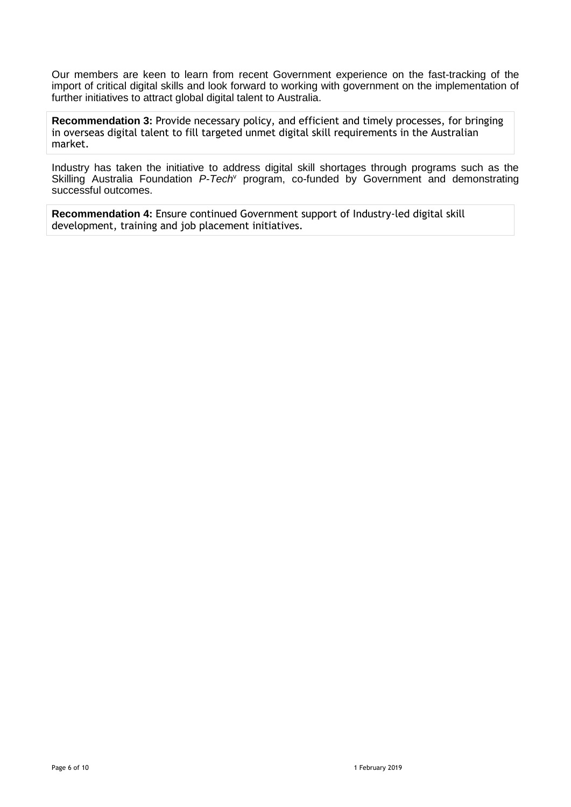Our members are keen to learn from recent Government experience on the fast-tracking of the import of critical digital skills and look forward to working with government on the implementation of further initiatives to attract global digital talent to Australia.

**Recommendation 3:** Provide necessary policy, and efficient and timely processes, for bringing in overseas digital talent to fill targeted unmet digital skill requirements in the Australian market.

Industry has taken the initiative to address digital skill shortages through programs such as the Skilling Australia Foundation *P-Tech*<sup>v</sup> program, co-funded by Government and demonstrating successful outcomes.

**Recommendation 4:** Ensure continued Government support of Industry-led digital skill development, training and job placement initiatives.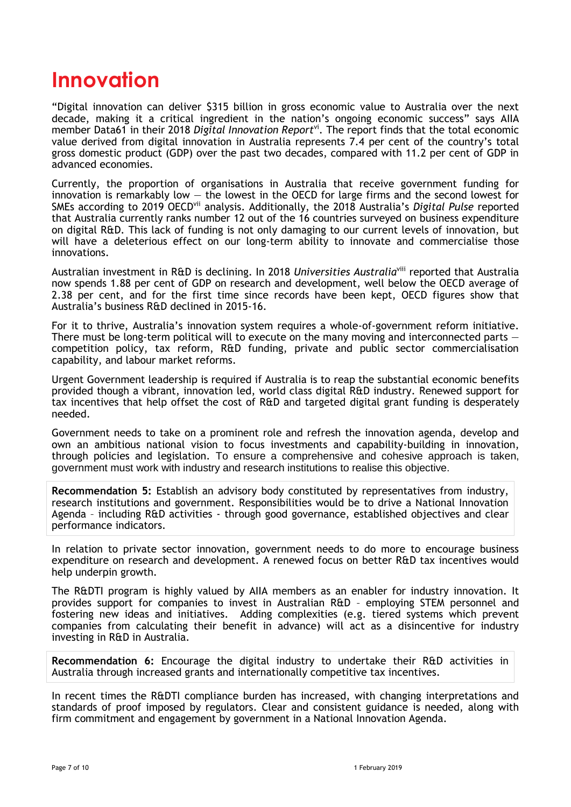### **Innovation**

"Digital innovation can deliver \$315 billion in gross economic value to Australia over the next decade, making it a critical ingredient in the nation's ongoing economic success" says AIIA member Data61 in their 2018 *Digital Innovation Report*<sup>vi</sup>. The report finds that the total economic value derived from digital innovation in Australia represents 7.4 per cent of the country's total gross domestic product (GDP) over the past two decades, compared with 11.2 per cent of GDP in advanced economies.

Currently, the proportion of organisations in Australia that receive government funding for innovation is remarkably low  $-$  the lowest in the OECD for large firms and the second lowest for SMEs according to 2019 OECDvii analysis. Additionally, the 2018 Australia's *Digital Pulse* reported that Australia currently ranks number 12 out of the 16 countries surveyed on business expenditure on digital R&D. This lack of funding is not only damaging to our current levels of innovation, but will have a deleterious effect on our long-term ability to innovate and commercialise those innovations.

Australian investment in R&D is declining. In 2018 *Universities Australia*viii reported that Australia now spends 1.88 per cent of GDP on research and development, well below the OECD average of 2.38 per cent, and for the first time since records have been kept, OECD figures show that Australia's business R&D declined in 2015-16.

For it to thrive, Australia's innovation system requires a whole-of-government reform initiative. There must be long-term political will to execute on the many moving and interconnected parts – competition policy, tax reform, R&D funding, private and public sector commercialisation capability, and labour market reforms.

Urgent Government leadership is required if Australia is to reap the substantial economic benefits provided though a vibrant, innovation led, world class digital R&D industry. Renewed support for tax incentives that help offset the cost of R&D and targeted digital grant funding is desperately needed.

Government needs to take on a prominent role and refresh the innovation agenda, develop and own an ambitious national vision to focus investments and capability-building in innovation, through policies and legislation. To ensure a comprehensive and cohesive approach is taken, government must work with industry and research institutions to realise this objective.

**Recommendation 5:** Establish an advisory body constituted by representatives from industry, research institutions and government. Responsibilities would be to drive a National Innovation Agenda – including R&D activities - through good governance, established objectives and clear performance indicators.

In relation to private sector innovation, government needs to do more to encourage business expenditure on research and development. A renewed focus on better R&D tax incentives would help underpin growth.

The R&DTI program is highly valued by AIIA members as an enabler for industry innovation. It provides support for companies to invest in Australian R&D – employing STEM personnel and fostering new ideas and initiatives. Adding complexities (e.g. tiered systems which prevent companies from calculating their benefit in advance) will act as a disincentive for industry investing in R&D in Australia.

**Recommendation 6:** Encourage the digital industry to undertake their R&D activities in Australia through increased grants and internationally competitive tax incentives.

In recent times the R&DTI compliance burden has increased, with changing interpretations and standards of proof imposed by regulators. Clear and consistent guidance is needed, along with firm commitment and engagement by government in a National Innovation Agenda.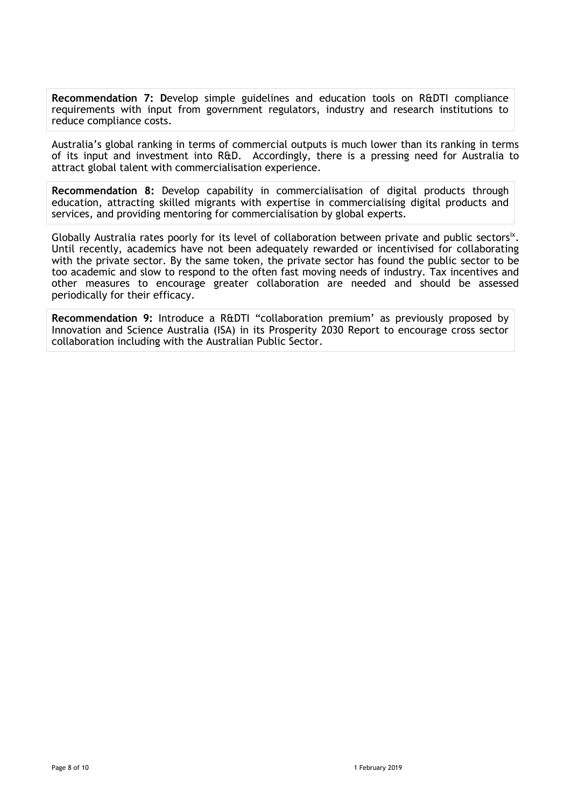**Recommendation 7: D**evelop simple guidelines and education tools on R&DTI compliance requirements with input from government regulators, industry and research institutions to reduce compliance costs.

Australia's global ranking in terms of commercial outputs is much lower than its ranking in terms of its input and investment into R&D. Accordingly, there is a pressing need for Australia to attract global talent with commercialisation experience.

**Recommendation 8:** Develop capability in commercialisation of digital products through education, attracting skilled migrants with expertise in commercialising digital products and services, and providing mentoring for commercialisation by global experts.

Globally Australia rates poorly for its level of collaboration between private and public sectorsix. Until recently, academics have not been adequately rewarded or incentivised for collaborating with the private sector. By the same token, the private sector has found the public sector to be too academic and slow to respond to the often fast moving needs of industry. Tax incentives and other measures to encourage greater collaboration are needed and should be assessed periodically for their efficacy.

**Recommendation 9:** Introduce a R&DTI "collaboration premium' as previously proposed by Innovation and Science Australia (ISA) in its Prosperity 2030 Report to encourage cross sector collaboration including with the Australian Public Sector.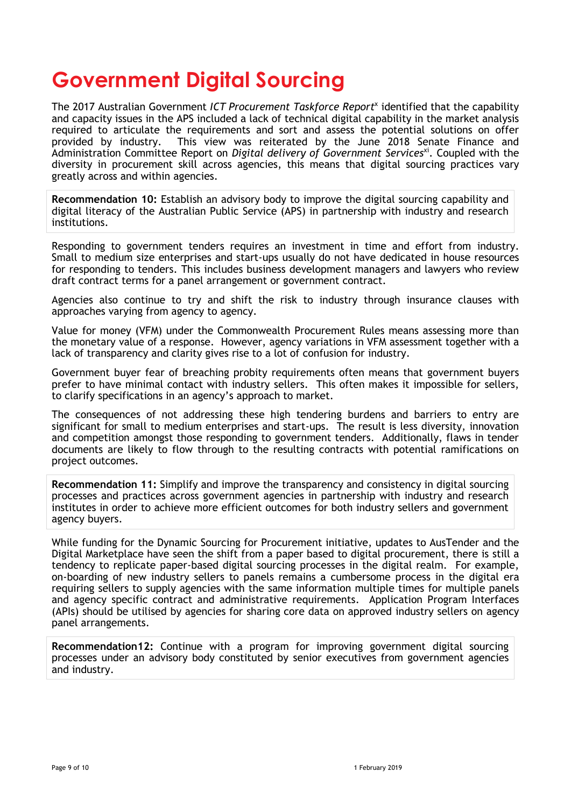### **Government Digital Sourcing**

The 2017 Australian Government ICT Procurement Taskforce Report<sup>x</sup> identified that the capability and capacity issues in the APS included a lack of technical digital capability in the market analysis required to articulate the requirements and sort and assess the potential solutions on offer provided by industry. This view was reiterated by the June 2018 Senate Finance and Administration Committee Report on *Digital delivery of Government Services*xi. Coupled with the diversity in procurement skill across agencies, this means that digital sourcing practices vary greatly across and within agencies.

**Recommendation 10:** Establish an advisory body to improve the digital sourcing capability and digital literacy of the Australian Public Service (APS) in partnership with industry and research institutions.

Responding to government tenders requires an investment in time and effort from industry. Small to medium size enterprises and start-ups usually do not have dedicated in house resources for responding to tenders. This includes business development managers and lawyers who review draft contract terms for a panel arrangement or government contract.

Agencies also continue to try and shift the risk to industry through insurance clauses with approaches varying from agency to agency.

Value for money (VFM) under the Commonwealth Procurement Rules means assessing more than the monetary value of a response. However, agency variations in VFM assessment together with a lack of transparency and clarity gives rise to a lot of confusion for industry.

Government buyer fear of breaching probity requirements often means that government buyers prefer to have minimal contact with industry sellers. This often makes it impossible for sellers, to clarify specifications in an agency's approach to market.

The consequences of not addressing these high tendering burdens and barriers to entry are significant for small to medium enterprises and start-ups. The result is less diversity, innovation and competition amongst those responding to government tenders. Additionally, flaws in tender documents are likely to flow through to the resulting contracts with potential ramifications on project outcomes.

**Recommendation 11:** Simplify and improve the transparency and consistency in digital sourcing processes and practices across government agencies in partnership with industry and research institutes in order to achieve more efficient outcomes for both industry sellers and government agency buyers.

While funding for the Dynamic Sourcing for Procurement initiative, updates to AusTender and the Digital Marketplace have seen the shift from a paper based to digital procurement, there is still a tendency to replicate paper-based digital sourcing processes in the digital realm. For example, on-boarding of new industry sellers to panels remains a cumbersome process in the digital era requiring sellers to supply agencies with the same information multiple times for multiple panels and agency specific contract and administrative requirements. Application Program Interfaces (APIs) should be utilised by agencies for sharing core data on approved industry sellers on agency panel arrangements.

**Recommendation12:** Continue with a program for improving government digital sourcing processes under an advisory body constituted by senior executives from government agencies and industry.